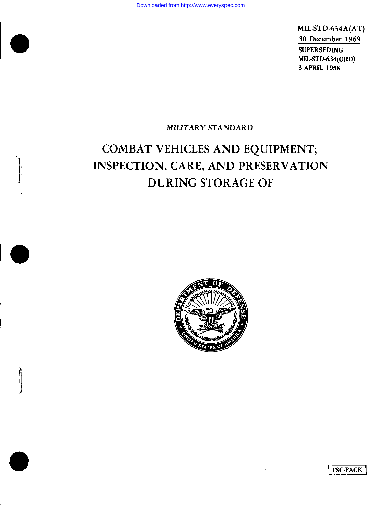●

I

**'o**

**I .–**

**I**

MIL-STD-634A(AT) 30 December 1969 **SUPERSEDING** MILSTD-634(ORD) 3 APRIL 1958

## MILITARY STANDARD

## **COMBAT VEHICLESAND EQUIPMENT; INSPECTION,CARE,AND PRESERVATION DURING STORAGE OF**



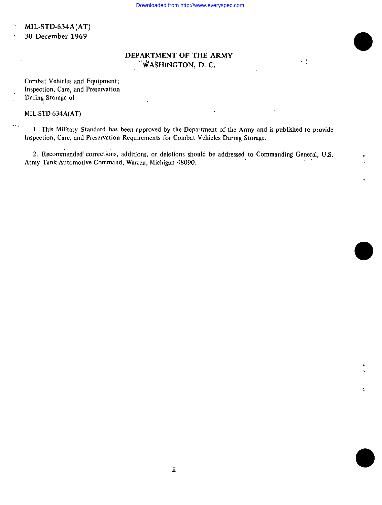MIL-STD-634A(AT) ' 30 December 1969

## DEPARTMENT OF THE ARMY WASHINGTON, D.C.

.,,

 $\overline{\mathbf{r}}$ 

Combat Vehicles and Equipment; Inspection, Care, and Preservation During Storage of

#### MIL-STD.634A(AT)

.

1. This Military Standard has been approved by the Department of the Army and is published to provide Inspection, Care, and Preservation Requirements for Combat Vehicles During Storage.

2. Recommended corrections, additions, or deletions should be addressed to Commanding General, U.S. Army Tank-Automotive Command, Warren, Michigan 48090.

ii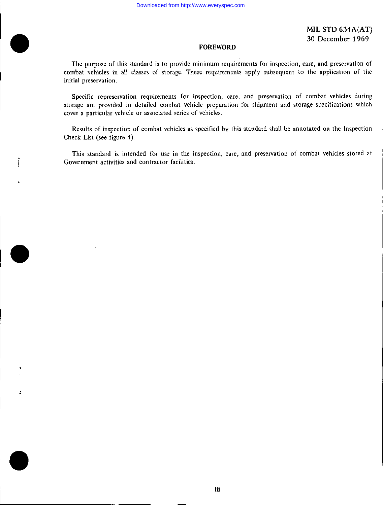$\bullet$ 

I

●

 $\hat{\mathbf{z}}$ 

 $\parallel$ 

 $\overline{\phantom{a}}$ 

M1L-STD-634A(AT) 30 December 1969

#### FOREWORD

The purpose of this standard is to provide minimum requirements for inspection, care, and preservation of combat vehicles in all classes of storage. These requirements apply subsequent to the application of the initial preservation.

Specific represervation requirements for inspection, care, and preservation of combat vehicles during stomge are provided in detailed combat vehicle preparation for shipment and storage specifications which cover a particular vehicle or associated series of vehicles.

Results of inspection of combat vehicles as specified by this standard shall be annotated on the Inspection Check List (see figure 4).

This standard is intended for use in the inspection, care, and preservation of combat vehicles stored at Government activities and contractor facilities.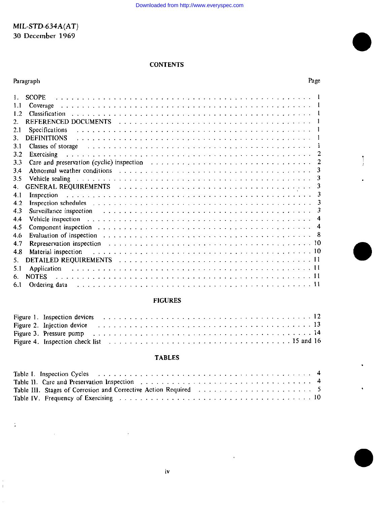## $MIL-STD-634A(AT)$ 30 December 1969

#### **CONTENTS**

#### Paragraph Page

 $\ddot{\bullet}$ 

 $\mathbf{I}$ 

|      | <b>SCOPE</b>                                                                                                                                                                                                                   |  |  |  |  |  |  |  |  |  |  |  |  |  |
|------|--------------------------------------------------------------------------------------------------------------------------------------------------------------------------------------------------------------------------------|--|--|--|--|--|--|--|--|--|--|--|--|--|
| 1.1  |                                                                                                                                                                                                                                |  |  |  |  |  |  |  |  |  |  |  |  |  |
| 12   |                                                                                                                                                                                                                                |  |  |  |  |  |  |  |  |  |  |  |  |  |
| 2.   | REFERENCED DOCUMENTS $\dots \dots \dots \dots \dots \dots \dots \dots \dots \dots \dots \dots \dots \dots \dots \dots$                                                                                                         |  |  |  |  |  |  |  |  |  |  |  |  |  |
| 2.1  | Specifications                                                                                                                                                                                                                 |  |  |  |  |  |  |  |  |  |  |  |  |  |
| 3.   | <b>DEFINITIONS</b>                                                                                                                                                                                                             |  |  |  |  |  |  |  |  |  |  |  |  |  |
| 3.1  | Classes of storage responses to the contract of the contract of the contract of the contract of the contract of the contract of the contract of the contract of the contract of the contract of the contract of the contract o |  |  |  |  |  |  |  |  |  |  |  |  |  |
| 3.2  | Exercising                                                                                                                                                                                                                     |  |  |  |  |  |  |  |  |  |  |  |  |  |
| 3.3  |                                                                                                                                                                                                                                |  |  |  |  |  |  |  |  |  |  |  |  |  |
| 34   | Abnormal weather conditions enterprise in the contract of the contract of the conditions of the conditions of the contract of the conditions of the conditions of the conditions of the conditions of the conditions of the co |  |  |  |  |  |  |  |  |  |  |  |  |  |
| 3.5  |                                                                                                                                                                                                                                |  |  |  |  |  |  |  |  |  |  |  |  |  |
| 4.   | GENERAL REQUIREMENTS residences in the contract of the state of the state of the state of the state of the state of the state of the state of the state of the state of the state of the state of the state of the state of th |  |  |  |  |  |  |  |  |  |  |  |  |  |
| 4.1  | Inspection                                                                                                                                                                                                                     |  |  |  |  |  |  |  |  |  |  |  |  |  |
| 4.2. |                                                                                                                                                                                                                                |  |  |  |  |  |  |  |  |  |  |  |  |  |
| 4.3  | Surveillance inspection enterpreteration of the state of the state of the state of the state of the state of the state of the state of the state of the state of the state of the state of the state of the state of the state |  |  |  |  |  |  |  |  |  |  |  |  |  |
| 4.4  |                                                                                                                                                                                                                                |  |  |  |  |  |  |  |  |  |  |  |  |  |
| 4.5  |                                                                                                                                                                                                                                |  |  |  |  |  |  |  |  |  |  |  |  |  |
| 46   | Evaluation of inspection $\ldots \ldots \ldots \ldots \ldots \ldots \ldots \ldots \ldots \ldots \ldots \ldots$                                                                                                                 |  |  |  |  |  |  |  |  |  |  |  |  |  |
| 4.7  | Represervation inspection contains and contained a service contained a service of the service of the service of the service of the service of the service of the service of the service of the service of the service of the s |  |  |  |  |  |  |  |  |  |  |  |  |  |
| 4.8  | Material inspection enterpreterate in the contract of the contract of the contract of the contract of the contract of the contract of the contract of the contract of the contract of the contract of the contract of the cont |  |  |  |  |  |  |  |  |  |  |  |  |  |
| 5.   |                                                                                                                                                                                                                                |  |  |  |  |  |  |  |  |  |  |  |  |  |
| 5.1  |                                                                                                                                                                                                                                |  |  |  |  |  |  |  |  |  |  |  |  |  |
| 6.   | <b>NOTES</b>                                                                                                                                                                                                                   |  |  |  |  |  |  |  |  |  |  |  |  |  |
| 6.1  | Ordering data                                                                                                                                                                                                                  |  |  |  |  |  |  |  |  |  |  |  |  |  |

#### **FIGURES**

| Figure 1. Inspection devices entertainment and the series of the series of the series of the series of the series of the series of the series of the series of the series of the series of the series of the series of the ser |  |  |  |  |  |  |  |  |  |  |  |  |  |  |  |  |
|--------------------------------------------------------------------------------------------------------------------------------------------------------------------------------------------------------------------------------|--|--|--|--|--|--|--|--|--|--|--|--|--|--|--|--|
|                                                                                                                                                                                                                                |  |  |  |  |  |  |  |  |  |  |  |  |  |  |  |  |
| Figure 3. Pressure pump environment of the contract of the contract of the contract of the contract of the contract of the contract of the contract of the contract of the contract of the contract of the contract of the con |  |  |  |  |  |  |  |  |  |  |  |  |  |  |  |  |
|                                                                                                                                                                                                                                |  |  |  |  |  |  |  |  |  |  |  |  |  |  |  |  |

#### TABLES

| Table I. Inspection Cycles (Alternative Alternative Alternative Alternative Alternative Alternative Alternative Alternative Alternative Alternative Alternative Alternative Alternative Alternative Alternative Alternative Al |  |
|--------------------------------------------------------------------------------------------------------------------------------------------------------------------------------------------------------------------------------|--|
|                                                                                                                                                                                                                                |  |
|                                                                                                                                                                                                                                |  |
|                                                                                                                                                                                                                                |  |

 $\overline{a}$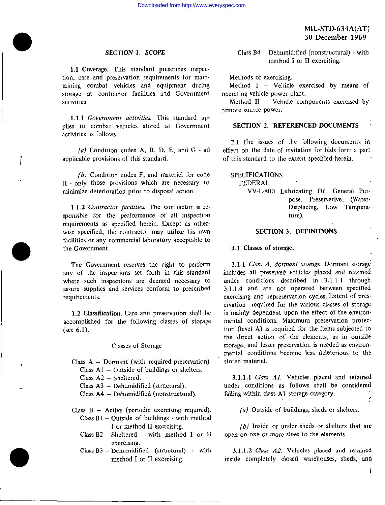MIL-STD-634A(AT) MIL-STD-634A(A<br>30 December 196<br>2007 - Channel British (september 196

#### SECTION 1. SCOPE

 $\overline{\phantom{a}}$ 

i

●

1.1 Coverage. This standard prescribes inspection, care and preservation requirements for maintaining combat vehicles and equipment during storage at contractor facilities and Government activities.

1.1.1 *Government activities.* This standard applies to combat vehicles stored at Government activities as follows:

*(u)* Condition codes A, B, D, E, and G-all applicable provisions of this standard.

*(b)* Condition codes F, and materiel for code H - only those provisions which are necessary to minimize deterioration prior to disposal action.

1.1.2 Contractor *facilities.* The contractor is responsible for the performance of all inspection requirements as specified herein. Except as otherwise specified, the contractor may utilize his own facilities or any commercial laboratory acceptable to the Government.

The Government reserves the right to perform any of the inspections set forth in this standard where such inspections are deemed necessary to assure supplies and services conform to prescribed requirements.

1.2 Classification. Care and preservation shall be accomplished for the following classes of storage (see 6.1).

#### Classes of Storage

- Class A Dormant (with required preservation).
	- Class  $A1 Qutside$  of buildings or shelters.
	- Class A2 Sheltered.
	- Class  $A3$  Dehumidified (structural).
	- Class  $A4 Dehumidified (nonstructural).$
- Class  $B -$  Active (periodic exercising required). Class B1– Outside of buildings . with method I ormethod I1 exercising.
	- Class B2– Sheltered with method I or 11 exercising.
	- ClassB3–Dehumidified (structural) with method I or II exercising.

Class B4 – Dehumidified (nonstructural) - with method I or 11 exercising.

Methods of exercising.

Method  $I -$  Vehicle exercised by means of operating vehicle power plant.

Method II – Vehicle components exercised by remote source power.

#### SECTION 2. REFERENCED DOCUMENTS

2.1 The issues of the following documents in effect on the date of invitation for bids form a part of this standard to the extent specified herein.

SPECIFICATIONS

FEDERAL

VV-L-800 Lubricating Oil, General Purpose, Preservative, (Water-Displacing, Low Temperature).

#### SECTION3. DEFINITIONS

#### 3.1 Classes of storage.

3.1.1 *Class A, dormant storage*. Dormant storage includes all preserved vehicles placed and retained under conditions described in 3.1.1.1 through 3.1.1.4 and are not operated between specified exercising and represewation cycles. Extent of preservation required for the various classes of storage is mainly dependent upon the effect of the environmental conditions. Maximum preservation protection (level A) is required for the items subjected to the direct action of the elements, as in outside storage, and lesser preservation is needed as environmental conditions become less deleterious to the stored materiel.

3.1.1.1 Class A1. Vehicles placed and retained under conditions as follows shall be considered falling within class A1 storage category. r

 $(a)$  Outside of buildings, sheds or shelters.

(b) Inside or under sheds or shelters that are open on one or more sides to the elements.

 $3.1.1.2$  Class  $A2$ . Vehicles placed and retained inside completely closed warehouses, sheds, and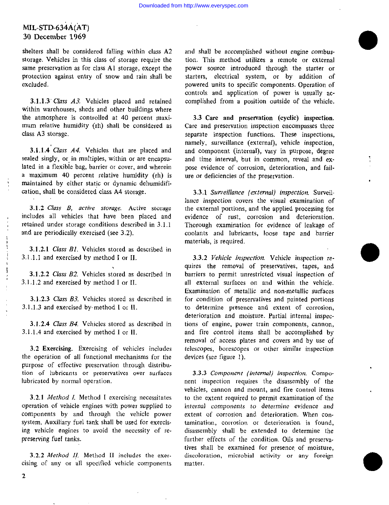## $MIL-STD-634A(AT)$ shelters shall be considered falling within class A2

shelters shall be considered falling within class A2 storage. Vehicles in this class of storage require the same preservation as for class A1 storage, except the protection against entry of snow and rain shall be excluded.

3.1.1.3 Class  $A3$ . Vehicles placed and retained within warehouses, sheds and other buildings where the atmosphere is controlled at 40 percent maximum relative humidity (rh) shall be considered as class A3 storage.

3.1.1.4 Class  $A4$ . Vehicles that are placed and sealed singly, or in multiples, within or are encapsulated in a flexible bag, barrier or cover, and wherein a maximum 40 percent relative humidity  $(rh)$  is maintained by either static or dynamic dehumidification, shall be considered class A4 storage.

3.1.2 Class  $B$ , active storage. Active storage includes all vehicles that have been placed and retained under storage conditions described in 3.1.1 and are periodically exercised (see 3.2).

3.1.2 Class *B, active storage.* Active storage

3.1.2.1 Class  $BI$ . Vehicles stored as described in 3.1.1.1 and exercised by method I or II.  $\overline{3}$ 

3.1.2.2 Class B2. Vehicles stored as described in 3.1.1.2 and exercised by method I or II.

3.1.2.3 Class  $B3$ . Vehicles stored as described in 3.1.1.3 and exercised by method I or II.

3.1.2.4 Class  $B4$ . Vehicles stored as described in 3.1.1.4 and exercised by method I or II.

3.2 Exercising. Exercising of vehicles includes the operation of all functional mechanisms for the purpose of effective preservation through distribution of lubricants or preservatives over surfaces lubricated by normal operation.

3.2.1 *Method I*. Method I exercising necessitates operation of vehicle engines with power supplied to components by and through the vehicle power system. Auxiliary fuel tank shall be used for exercising vehicle engines to avoid the necessity of represerving fuel tanks.

3.2.2 Method II. Method II includes the exercising of any or all specified vehicle components

3.2.2 *Method II.* Method 11 includes the exer.

and shall be accomplished without engine combustion. This method utilizes a remote or external power source introduced through the starter or starters, electrical system, or by addition of powered units to specific components. Operation of controls and application of power is usually accomplished from a position outside of the vehicle.

3.3 Care and preservation (cyclic) inspection. Care and preservation inspection encompasses three separate inspection functions. These inspections, namely, surveillance (external), vehicle inspection, and component (internal), vary in purpose, degree and time interval, but in common, reveal and expose evidence of corrosion, deterioration, and failure or deficiencies of the preservation.

3.3.1 Surveillance (external) inspection. Surveillance inspection covers the visual examination of the external portions, and the applied processing for evidence of rust, corrosion and deterioration. Thorough examination for evidence of leakage of coolants and lubricants, loose tape and barrier materials, is required.

3,3.2 *Vehicle inspection.* Vehicle inspection re-

3.3.2 Vehicle inspection. Vehicle inspection requires the removal of preservatives, tapes, and barriers to permit unrestricted visual inspection of all external surfaces on and within the vehicle. Examination of metallic and non-metallic surfaces for condition of preservatives and painted portions to determine presence and extent of corrosion. deterioration and moisture. Partial internal inspections of engine, power train components, cannon, and fire control items shall be accomplished by removal of access plates and covers and by use of telescopes, borescopes or other similar inspection devices (see figure 1).

3.3.3 Component (internal) inspection. Component inspection requires the disassembly of the vehicles, cannon and mount, and fire control items to the extent required to permit examination of the internal components to determine evidence and extent of corrosion and deterioration. When contamination, corrosion or deterioration is found, disassembly shall be extended to determine the further effects of the condition. Oils and preservatives shall be examined for presence of moisture disassembly shall be extended to determine the<br>further effects of the condition. Oils and preserva-<br>tives shall be examined for presence of moisture,<br>discoloration, microbial activity or any foreign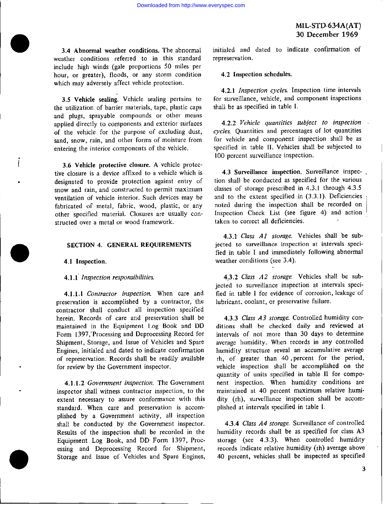3.4 Abnormal weather conditions. The abnormal weather conditions referred to in this standard include high winds (gale proportions 50 miles per hour, or greater), floods, or any storm condition which may adversely affect vehicle protection.

3.5 Vehicle sealing. Vehicle sealing pertains to the utilization of barrier materials, tape, plastic caps and plugs, sprayable compounds or other means applied directly to components and exterior surfaces of the vehicle for the purpose of excluding dust, sand, snow, rain, and other forms of moisture from entering the interior components of the vehicle.

3.6 Vehicle protective closure. A vehicle protective closure is a device affixed to a vehicle which is designated to provide protection against entry of snow and rain, and constructed to permit maximum ventilation of vehicle interior. Such devices may be fabricated of metal, fabric, wood, plastic, or any other specified material. Closures are usually constructed over a metal or wood framework.

#### SECTION 4. GENERAL REQUIREMENTS

#### 4.1 Inspection.

I

●

 $\frac{1}{2}$ 

●

#### 4.1.1 *Inspection responsibilities.*

*4.1.1.1 Contractor inspection.* When care and preservation is accomplished by a contractor, the contractor shall conduct all inspection specified herein. Records of care and preservation shall be maintained in the Equipment Log Book and DD Form 1397, Processing and Deprocessing Record for Shipment, Storage, and Issue of Vehicles and Spare Engines, initialed and dated to indicate confirmation of represervation. Records shall be readily available for review by the Government inspector.

4.1,1.2 *Government inspection.* The Government inspector shall witness contractor inspection, to the extent necessary to assure conformance with this standard. When care and preservation is accomplished by a Government activity, all inspection shall be conducted by the Government inspector. Results of the inspection shall he recorded in the Equipment Log Book, and DD Form 1397, Proc. essing and Deprocessing Record for Shipment, Storage and Issue of Vehicles and Spare Engines, initialed and dated to indicate confirmation of represervation.

#### 4.2 Inspection schedules.

4.2.1 *Inspection cycles.* Inspection time intervals for surveillance, vehicle, and component inspections shall be as specified in table I.

4.2.2 *Vehicle quantities subject to inspection cycles.* Quantities and percentages of lot quantities for vehicle and component inspection shall be as specified in table 11. Vehicles shall be subjected to 100 percent surveillance inspection.

4.3 Surveillance inspection. Surveillance inspection shall be conducted as specified for the various classes of storage prescribed in 4.3.1 through 4.3.5 and to the extent specified in (3.3.1). Deficiencies noted during the inspection shall be recorded on Inspection Check List (see figure 4) and action taken to correct all deficiencies.

4.3.1 Class A1 storage. Vehicles shall be subjected to surveillance inspection at intervals specified in table I and immediately following abnormal weather conditions (see 3.4).

4.3.2 Class A2 storage. Vehicles shall be subjected to surveillance inspection at intervals specified in table I for evidence of corrosion, leakage of lubricant, coolant, or preservative failure.

4.3.3 Class A3 *storage.* Controlled humidity conditions shall be checked daily and reviewed at intervals of not more than 30 days to determine average humidity. When records in any controlled humidity structure reveal an accumulative average [h, of greater than 40 ,percent for the period, vehicle inspection shall be accomplished on the quantity of units specified in table 11 for component inspection. When humidity conditions are maintained at 40 percent maximum relative humidity (rh), surveillance inspection shall be accomplished at intervals specified in table I.

4.3.4 *Class A4 storage*. Surveillance of controlled humidity records shall be as specified for class A3 storage (see 4.3.3). When controlled humidity records indicate relative humidity (rh) average above 40 percent, vehicles shall be inspected as specified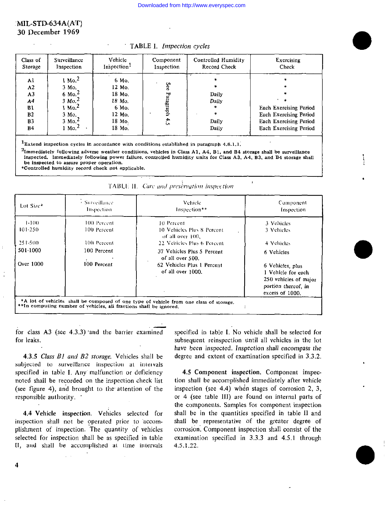#### $ML$ -STD-634A(AT) 30 December 1969

TABLE I. Inspection cycles

| Class of                                            | Surveillance                                                                                                                                     | Vehicle                                                                      | Component                 | Controlled Humidity              | Exercising                                                                                           |
|-----------------------------------------------------|--------------------------------------------------------------------------------------------------------------------------------------------------|------------------------------------------------------------------------------|---------------------------|----------------------------------|------------------------------------------------------------------------------------------------------|
| Storage                                             | Inspection                                                                                                                                       | Inspection <sup>1</sup>                                                      | Inspection                | Record Check                     | Check                                                                                                |
| Αl<br>A2<br>A3<br>A4<br>B1<br>B2<br>B3<br><b>B4</b> | $1$ Mo. <sup>2</sup><br>3 Mo.<br>6 Mo. <sup>2</sup><br>$3 \text{ Mo}^2$<br>$1 \text{ Mo.}^2$<br>3 Mo.<br>$3 \text{ Mo.}^2$<br>1 Mo. <sup>2</sup> | 6 Mo.<br>12 Mo.<br>18 Mo.<br>18 Mo.<br>$6$ Mo.<br>12 Mo.<br>18 Mo.<br>18 Mo. | See<br>−<br>yderser<br>Ů, | Daily<br>Daily<br>Daily<br>Daily | Each Exercising Period<br>Each Exercising Period<br>Each Exercising Period<br>Each Exercising Period |

<sup>1</sup>Extend inspection cycles in accordance with conditions established in paragraph  $4.6.1.1$ .

<sup>2</sup>Immediately following adverse weather conditions, vehicles in Class A1, A4, B1, and B4 storage shall be surveillance inspected. Immediately following power failure, controlled humidity units for Class A3, A4, B3, and B4 storage shall be inspected to assure proper operation.

\*Controlled humidity record check not applicable.

TABLE II. Care and preservation inspection

| Lot Size* | + Surveillance<br>Inspection | Vehicle<br>Inspection**                         | Component<br>Inspection                                                                                   |
|-----------|------------------------------|-------------------------------------------------|-----------------------------------------------------------------------------------------------------------|
| $1-100$   | 100 Percent                  | 10 Percent                                      | 3 Vehicles                                                                                                |
| 101-250   | 100 Percent                  | 10 Vehicles Plus 8 Percent<br>of all over 100.  | 3 Vehicles                                                                                                |
| 251-500   | 100 Percent                  | 22 Vehicles Plus 6 Percent                      | 4 Vehicles                                                                                                |
| 501-1000  | 100 Percent                  | 37 Vehicles Plus 5 Percent<br>of all over 500.  | 6 Vehicles                                                                                                |
| Over 1000 | 100 Percent                  | 62 Vehicles Plus 1 Percent<br>of all over 1000. | 6 Vehicles, plus<br>1 Vehicle for each<br>250 vehicles of major<br>portion thereof, in<br>excess of 1000. |

In computing number of vehicles, all fractions shall be ignored.

for class A3 (see 4.3.3) and the barrier examined for leaks.

4.3.5 Class B1 and B2 storage. Vehicles shall be subjected to surveillance inspection at intervals specified in table I. Any malfunction or deficiency noted shall be recorded on the inspection check list (see figure 4), and brought to the attention of the responsible authority. \*

4.4 Vehicle inspection. Vehicles selected for inspection shall not be operated prior to accomplishment of inspection. The quantity of vehicles selected for inspection shall be as specified in table II, and shall be accomplished at time intervals

specified in table I. No vehicle shall be selected for subsequent reinspection until all vehicles in the lot have been inspected. Inspection shall encompass the degree and extent of examination specified in 3.3.2.

4.5 Component inspection. Component inspection shall be accomplished immediately after vehicle inspection (see 4.4) when stages of corrosion  $2, 3,$ or 4 (see table III) are found on internal parts of the components. Samples for component inspection shall be in the quantities specified in table II and shall be representative of the greater degree of corrosion. Component inspection shall consist of the examination specified in 3.3.3 and 4.5.1 through  $4.5.1.22.$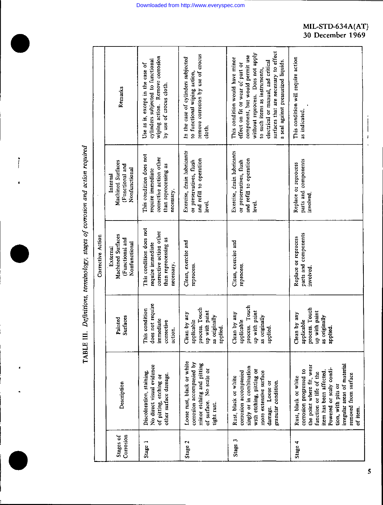| こうしょう ちょうしょう                                            |  |
|---------------------------------------------------------|--|
| an ana activ.                                           |  |
|                                                         |  |
|                                                         |  |
|                                                         |  |
|                                                         |  |
| eminology, stages of corrosion and acti                 |  |
|                                                         |  |
| TARIE III Definiti<br>المحالفة المقاطعة المتساعدات<br>⋾ |  |

**I**

**1'**

**I**

|                         |                                                                                                                                                                                                                                                        |                                                                                            | Corrective Action                                                                                              |                                                                                                               |                                                                                                                                                                                                                                                                                                    |
|-------------------------|--------------------------------------------------------------------------------------------------------------------------------------------------------------------------------------------------------------------------------------------------------|--------------------------------------------------------------------------------------------|----------------------------------------------------------------------------------------------------------------|---------------------------------------------------------------------------------------------------------------|----------------------------------------------------------------------------------------------------------------------------------------------------------------------------------------------------------------------------------------------------------------------------------------------------|
| Corrosion<br>Stages of  | Description                                                                                                                                                                                                                                            | Surfaces<br>Painted                                                                        | Machined Surfaces<br>(Functional and<br>Nontunctional<br>External                                              | Machined Surfaces<br>(Functional and<br>Nonfunctional<br>Internal                                             | Remarks                                                                                                                                                                                                                                                                                            |
| <b>Stage</b>            | No direct visual evidence<br>Discoloration, staining.<br>other surface damage.<br>of pitting, etching or                                                                                                                                               | does not require<br>This condition<br>immediate<br>corrective<br>action.                   | This condition closs not<br>corrective action other<br>than reprocessing as<br>require immediate<br>necessary. | This condition does not<br>corrective action other<br>than reprocessing as<br>require immediate<br>necessary. | wiping action. Remove corrosion<br>cylinders subjected to functional<br>Use as is, except in the case of<br>by use of crocus cloth.                                                                                                                                                                |
| Stage 2                 | Loose rust, black or white<br>corrosion accompanied by<br>minor etching and pitting<br>of surface. No scale or<br>tight rust.                                                                                                                          | process. Touch<br>up with paint<br>Clean by any<br>as originally<br>applicable<br>applied. | Clean, exercise and<br>reprocess.                                                                              | Exercise, drain lubricants<br>and refill to operation<br>or preservatives, flush<br>level.                    | remove corrosion by use of crocus<br>In the case of cylinders subjected<br>to functional wiping action,<br>$dot{\mathbf{h}}$ .                                                                                                                                                                     |
| S<br>Stage <sup>1</sup> | singly or in combination<br>with etching, pitting or<br>corrosion accompanied<br>more extensive surface<br>Rust, black or white<br>granular condition.<br>damage. Loose or                                                                             | process. Touch<br>up with paint<br>Clean by any<br>as originally<br>applicable<br>applied. | Clean, exercise and<br>reprocess.                                                                              | Exercise, drain lubricants<br>and refill to operation<br>or preservatives, flush<br>level.                    | surfaces that are necessary to effect<br>without reprocess. Does not apply<br>component, but would permit use<br>This condition would have minor<br>a seal against pressurized liquids.<br>electrical or manual, and critical<br>effect on fit or wear of part or<br>to such items as instruments, |
| Stage 4                 | irregular areas of material<br>the point where fit, wear<br>Powered or scaly condi-<br>corrosion progressed to<br>item has been affected.<br>function or life of the<br>removed from surface<br>Rust, black or white<br>tion, with pits or<br>of item. | process. Touch<br>up with paint<br>Clean by any<br>as originally<br>applicable<br>applied. | parts and components<br>Replace or reprocess<br>involved.                                                      | parts and components<br>Replace or reprocess<br>involved.                                                     | This condition will require action<br>as indicated.                                                                                                                                                                                                                                                |

## MIL-STD-634A( 30 December 1969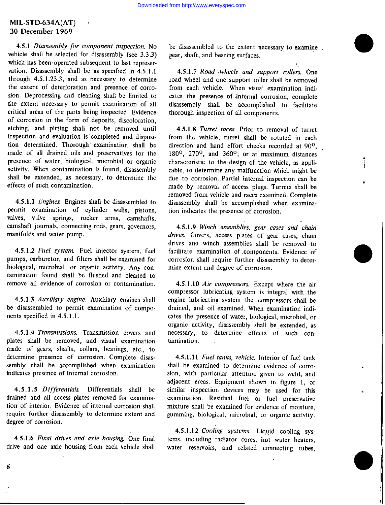### $MIL-STD-634A(AT)$ 30 December 1969

4.5.1 *Disassembly for component inspection. No vehicle* shall be selected for disassembly (see 3.3.3) which has been operated subsequent to last represervation. Disassembly shall be as specified in 4,5.1,1 through 4.5.1.23.3, and as necessary to determine the extent of deterioration and presence of corrosion. Deprocessing and cleaning shall be limited to the extent necessary to permit examination of all critical areas of the parts being inspected. Evidence of corrosion in the form of deposits, discoloration, etching, and pitting shall not be removed until inspection and evaluation is completed and disposition determined. Thorough examination shall be made of all drained oils and preservatives for the presence of water, biological, microbial or organic activity. When contamination is found, disassembly shall be extended, as necessary, to determine the effects of such contamination.

4.5.1.1 *Engines* Engines shall be disassembled to permit examination of cylinder walls, pistons, valves, vilve springs, rocker arms, camshafts, camshaft journals, connecting rods, gears, governors, manifolds and water pump.

4.5.1.2 *Fuel system.* Fuel injector system, fuel pumps, carburetor, and filters shall be examined for biological, microbial, or organic activity. Any contamination found shall be flushed and cleaned to remove all evidence of corrosion or contamination.

4.5,1.3 *Auxiliary engine.* Auxiliary engines shall be disassembled to permit examination of components specified in 4.5.1.1.

4.5.1.4 *Transmissions*. Transmission covers and plates shall be removed, and visual examination made of gears, shafts, collars, bearings, etc., to determine presence of corrosion. Complete disas. sembly shall be accomplished when examination indicates presence of internal corrosion.

4.5.1.5 *Differentials.* Differentials shall be drained and all access plates removed for examina. tion of interior. Evidence of internal corrosion shall require further disassembly to determine extent and degree of corrosion.

4.5.1.6 *Final drives and axle housing, One* final drive and one axle housing from each vehicle shall gear, shaft, and bearing surfaces. be disassembled to the extent necessary to examine

4.S. 1.7 *Road wheels and support rollers.* One road wheel and one support roller shall be removed from each vehicle. When visual examination indi. cates the presence of internal corrosion, complete disassembly shall. be accomplished to facilitate thorough inspection of all components.

4.5.1.8 *Turret races.* Prior to removal of turret from the vehicle, turret shall be rotated in each direction and hand effort checks recorded at 90<sup>0</sup>, 180°, 270°, and 360°; or at maximum distances characteristic to the design of the vehicle, as applicable, to determine any malfunction which might be due to corrosion.. Partial internal inspection can be made by removal of access plugs. Turrets shall be removed from vehicle and races examined. Complete disassembly shall be accomplished when examination indicates the presence of corrosion.

4.5.1.9 *Winch assemblies, gear cases and chain drives, Covers, access* plates of gear cases, chain drives and winch assemblies shall be removed to facilitate examination of. components. Evidence of corrosion shall require further disassembly to determine extent and degree of corrosion.

4.5.1.10 *Air compressors.* Except where the air compressor lubricating system is integral with the engine lubricating system the compressors shall be drained, and oil examined. When examination indicates the presence of water, biological, microbial, or organic activity, disassembly shall be extended, as necessary, to determine effects of such contamination.

4.5.1.11 *Fuel tanks, vehicle.* Interior of fuel tank shall be examined to determine evidence of corrosion, with particular attention given to weld, and adjacent areas. Equipment shown in figure 1, or similar inspection devices may be used for this examination. Residual fuel or fuel preservative mixture shall be examined for evidence of moisture, gumming, biological, microbial, or organic activity.

4.5.1.12 *Cooling systems.* Liquid cooling systems, including radiator cores, hot water heaters, water reservoirs, and related connecting tubes,

 $\bullet$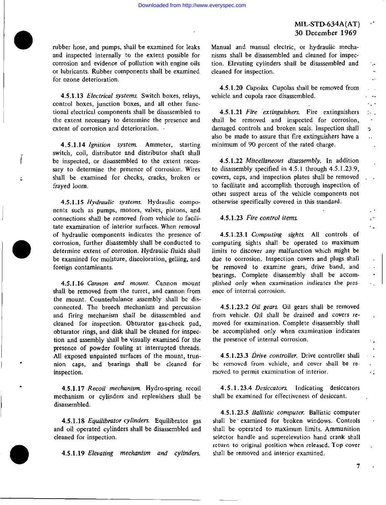,..

,.

.. .,. :..

 $\overline{2}$ .,

> ., , ,-

,,

.:

rubber hose, and pumps, shall be examined for leaks and inspected internally to the extent possible for corrosion and evidence of pollution with engine oils or lubricants. Rubber components shall be examined for ozone deterioration.

4.5.1.13 *Electrical systems.* Switch boxes, relays, control boxes, junction boxes, and all other functional electrical components shall be disassembled to the extent necessary to determine the presence and extent of corrosion and deterioration.

4.5,1.14 *Ignition system.* Ammeter, starting switch, coil, distributor and distributor shaft shall be inspected, or disassembled to the extent necessary to determine the presence of corrosion. Wires shall be examined for checks, cracks, broken or frayed loom.

4.5.1.15 *Hydraulic systems.* Hydraulic components such as pumps, motors, valves, pistons, and connections shall be removed *from* vehicle to facilitate examination of interior surfaces. When removal of hydraulic components indicates the presence of corrosion, further disassembly shall be conducted to determine extent of corrosion. Hydraulic fluids shall be examined for moisture, discoloration, gelling, and foreign contaminants.

4.5.1.16 *Cannon and mount.* Cannon mount sbail be removed from the turret, and cannon from the mount. Counterbalance assembly shall be disconnected. The breech mechanism and percussion and firing mechanism shall be disassembled and cleaned for inspection. Obturator gas-check pad, obturator rings, and disk shall be cleaned for inspection and assembly shall be visually examined for the presence of powder fouling at interrupted threads. All exposed unpainted surfaces of the mount, trunnion caps, and bearings shall be cleaned for inspection.

4,5.1.17 *Recoil mechanism* Hydro-spring recoil mechanism or cylinders and replenishers shall be disassembled.

*4.5.1.18 Equi/ibmtor cylinders.* Equilibrator gas and oil operated cylinders shall be disassembled and cleaned for inspection.

**c** 4.5.1.19 *Elevating mechanism and cylinders.*

Manual and manual electric, or hydraulic mechanisms shall be disassembled and cleaned for inspection. Elevating cylinders shall be disassembled and cleaned for inspection.

4.5.1.20 *Cupolas*. Cupolas shall be removed from vehicle and cupola race disassembled.

4.5.1.21 *Fire extinguishers.* Fire extinguishers shall be removed and inspected for corrosion, damaged controls and broken seals. Inspection shall also be made to assure that fire extinguishers have a minimum of 90 percent of the rated charge.

4.5.1.22 *Misce/funeous disassembly. In* addition to disassembly specified in 4.5.1 through 4.5.1.23.9, covers, caps, and inspection plates shall be removed to facilitate and accomplish thorough inspection of other suspect areas of the vehicle components not otherwise specifically covered in this standard.

#### 4.5.1.23 *Fire control itemx*

*4.5.1 .23,1 Computing sights.* All controls of computing sights shall be operated to maximum limits to discover *any* malfunction which might be due to corrosion. Inspection covers and plugs shall be removed to examine gears, drive band, and bearings. Complete disassembly shall be accom. plished only when examination indicates the presence of internal corrosion.

4.5,1 .23.2 *Oil gears.* Oil gears shall be removed from vehicle. Oil shall be drained and covers removed for examination. Complete disassembly shall be accomplished only when examination indicates the presence of internal corrosion.

4.5.1 .23,3 *Drive controller.* Drive controller shall be removed from vehicle, and cover shall be re. moved to permit examination of interior.

4.5,1 .23.4 *Dcsiccatorx* Indicating desiccators shall be examined for effectiveness of desiccant.

4.5.1 .23,5 *Ballistic computer.* Ballistic computer shall be examined for broken windows. Controls shall be operated to maximum limits. Ammunition selector handle and superelevation hand crank shall return to original position when released. Top cover shall be removed and interior examined.

7

●

 $\overline{\phantom{a}}$ 

I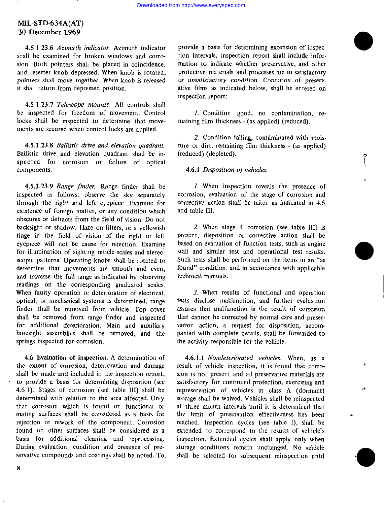### MIL-STD-634A(AT) 30 December 1969

4.5,1 .23.6 *Azimuth indicator.* Azimuth indicator shall be examined for broken windows and corrosion. Both pointers shall be placed in coincidence, and resetter knob depressed. When knob is rotated, pointers shall *move* together, When knob is released it shall return from depressed position.

4.5,1 .23.7 *Telescope mounts.* All controls shall be inspected for freedom of movement. Control locks shall be inspected to determine that movements are secured when control locks are applied,

4.5.1,23.8 *Ballistic drive and elevation quadmnt.* Ballistic drive and elevation quadrant shall be inspected for corrosion or failure of optical components.

4.5.1 .23.9 *Range finder* Range finder shall be inspected as follows: observe the sky separately through the right and left eyepiece. Examine for existence of foreign matter, or any condition which obscures or detracts from the field of vision. Do not backsight or shadow. Haze on filters, or a yellowish tinge in the field of vision of the right or left eyepiece will not be cause for rejection. Examine for illumination of sighting reticle scales and stereo. scopic patterns. Operating knobs shall be rotated to determine that movements are smooth and even, and traverse the full range as indicated by observing readings on the corresponding graduated scales. When faulty operation or deterioration of electrical, optical, or mechanical systems is determined, range finder shall be removed from vehicle. Top cover shall be removed from range finder and inspected for additional deterioration. Main and auxiliary boresight assemblies shall be removed, and the springs inspected for corrosion.

4.6 Evaluation of inspection. A determination of the extent of corrosion, deterioration and damage shall be made and included in the inspection report, to provide a basis for determining disposition (see 4.6. 1). Stages of corrosion (see table HI) shall be determined with relation to the area affected. Only that corrosion which is found on functional or mating surfaces shall be considered as a basis for rejection or rework of the component. Corrosion found on other surfaces shall be considered as a basis for additional cleaning and reprocessing, During evaluation, condition and presence of preservative compounds and coatings shall be noted. To.

tion intervals, inspection report shall include infor provide a basis for determining extension of inspecmation to indicate whether preservative, and other protective materials and processes are in satisfactory or unsatisfactory *condition, Condition* of preservative films as indicated below, shall be entered on inspection report:

●

,.

1. Condition good, no contamination, remaining film thickness . (as applied) (reduced).

2. Condition failing, contaminated with moisture or dirt, remaining film thickness - (as applied) (reduced) (depleted).

4.6.1 *Disposition of vehicles.*

1. When inspection reveals the presence of corrosion, evaluation of the stage of corrosion and corrective action shall be taken as indicated in 4.6 and table 111,

2. When stage 4 corrosion (see table III) is present, disposition or corrective action shall be based on evaluation of function tests, such as engine stall and similar test and operational test results. Such tests shall be performed on the items in an "as found" condition, and in accordance with applicable technical manuals.

 $3.$  When results of functional and operation tests disclose malfunction, and further evaluation assures that malfunction is the result of corrosion that cannot be corrected by normal care and preser. vation action, a request for disposition, accompanied with complete details, shall be forwarded to the activity responsible for the vehicle.

4.6.1.1 *Nondeteriomted vehicles.* When, as a result of vehicle inspection, it is found that corrosion is not present and all preservative materials are satisfactory for continued protection, exercising and represervation of vehicles in class A (dormant) storage shall be waived. Vehicles shall be reinspected at three month intervals until it is determined that the limit of preservation effectiveness has been reached. Inspection cycles (see table I), shall be extended to correspond to the results of vehicle's inspection. Extended cycles shall apply only when storage conditions remain unchanged. No vehicle shall be selected for subsequent reinspection until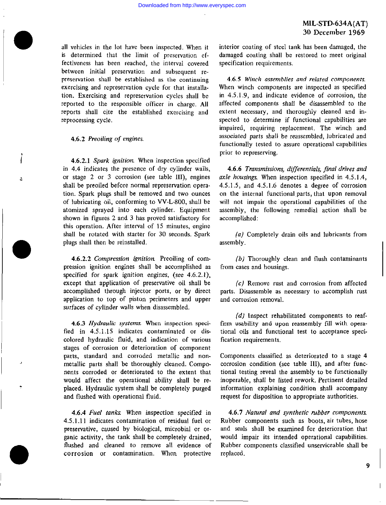all vehicles in the lot have been inspected. When it is determined that the limit of preservation effectiveness has been reached, the interval covered between initial preservation and subsequent represervation shall be established as the continuing exercising and represervation cycle for that installa. tion. Exercising and represervation cycles shall be reported to the responsible officer in charge. All reports shall cite the established exercising and reprocessing cycle,

#### 4.6.2 Preoiling of engines,

i

 $\Delta$ 

●

 $\overline{\phantom{a}}$ 

4.6.2.1 *Spark ignition.* When inspection specified in 4.4 indicates tbe presence of dry cylinder walls, or stage 2 or 3 corrosion (see table III), engines shall be preoiled before normal represervation operation. Spark plugs shall be removed and two ounces of lubricating oil, conforming to W-L-8OO, shall be atomized sprayed into each cylinder. Equipment shown in figures 2 and 3 has proved satisfactory for this operation. After interval of 15 minutes, engine shall be rotated with starter for 30 seconds. Spark plugs shall then be reinstalled.

4.6.2.2 *Compression ignition*. Preoiling of compression ignition engines shall be accomplished as specified for spark ignition engines, (see  $4.6.2.1$ ), except that application of preservative oil shall be accomplished through injector ports, or by direct application to top of piston perimeters and upper surfaces of cylinder walls when disassembled.

4.6.3 *Hydraulic systems.* When inspection specified in 4,5.1,15 indicates contaminated or discolored hydraulic fluid, and indication of various stages of corrosion or deterioration of component parts, standard and corroded metallic and nonmetallic parts shall be thoroughly cleaned. Components corroded or deteriorated to the extent that would affect the operational ability shall be replaced. Hydraulic system shall be completely purged and flushed with operational fluid.

4.6.4 *Fuel tanks. When* inspection specified in 4.S. 1.11 indicates contamination of residual fuel or preservative, caused by biological, microbial or organic activity, the tank shall be completely drained, flushed and cleaned to remove all evidence of corrosion or contamination. When protective

interior coating of steel tank has been damaged, the damaged coating shall be restored to meet original specification requirements.

4.6.5 *Winch assemblies and related components, When* winch components are inspected as specified in 4.5.1.9, and indicate evidence of corrosion, the affected components shall be disassembled to the extent necessary, and thoroughly cleaned and inspected to determine if functional capabilities are impaired, requiring replacement. The winch and associated parts shall be reassembled, lubricated and functionally tested to assure operational capabilities prior to represewing.

*4.6.6 Transmissions, differentials, fhzl drives and axle housings.* When inspection specified in 4.5.1.4, 4.5.1.5, and 4.5.1,6 denotes a degree of corrosion on the internal functional parts, that upon removal will not impair the operational capabilities of the assembly, the following remedial action shall be accomplished:

(a) Completely drain oils and lubricants from assembly.

*(b)* Thoroughly clean and flush contaminants from cases and housings.

 $(c)$  Remove rust and corrosion from affected parts. Disassemble as necessary to accomplish rust and corrosion removal.

*(d)* Inspect rehabilitated components to reaffirm usability and upon reassembly fill with operational oils and functional test to acceptance specification requirements.

Components classified as deteriorated to a stage 4 corrosion condition (see table III), and after func. tional testing reveal the assembly to be functionally inoperable, shall be listed rework. Pertinent detailed information explaining condition shall accompany request for disposition to appropriate authorities.

*4.6.7 Natural and synthetic rubber component* Rubber components such as boots, air tubes, hose and seals shall be examined for deterioration that would impair its intended operational capabilities. Rubber components classified unserviceable shall be replaced,

9

 $\overline{1}$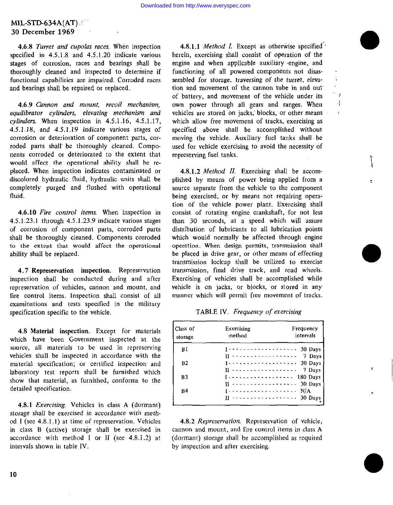#### $ML-STD-634A(AT)$ 30 December 1969

4.6.8 Turret and cupolas races. When inspection specified in  $4.5.1.8$  and  $4.5.1.20$  indicate various stages of corrosion, races and bearings shall be thoroughly cleaned and inspected to determine if functional capabilities are impaired. Corroded races and bearings shall be repaired or replaced.

4.6.9 Cannon and mount, recoil mechanism, *equilibrator cylinders, elevating mechanism and* cylinders. When inspection in  $4.5.1.16$ ,  $4.5.1.17$ , 4.5.1.18. and  $4.5.1.19$  indicate various stages of corrosion or deterioration of component parts, corroded parts shall be thoroughly cleaned. Components corroded or deteriorated to the extent that would affect the operational ability shall be replaced. When inspection indicates contaminated or discolored hydraulic fluid, hydraulic units shall be completely purged and flushed with operational fluid.

4.6.10 Fire control items. When inspection in  $4.5.1.23.1$  through  $4.5.1.23.9$  indicate various stages of corrosion of component parts, corroded parts shall be thoroughly cleaned. Components corroded to the extent that would affect the operational ability shall be replaced.

4.7 Represervation inspection. Represervation inspection shall be conducted during and after represervation of vehicles, cannon and mount, and fire control items. Inspection shall consist of all examinations and tests specified in the military specification specific to the vehicle.

4.8 Material inspection. Except for materials which have been Government inspected at the source, all materials to be used in represerving vehicles shall be inspected in accordance with the material specification; or certified inspection and laboratory test reports shall be furnished which show that material, as furnished, conforms to the detailed specification.

4.8.1 Exercising. Vehicles in class A (dormant) storage shall be exercised in accordance with method I (see  $4.8.1.1$ ) at time of represervation. Vehicles in class  $B$  (active) storage shall be exercised in accordance with method I or II (see  $4.8.1.2$ ) at intervals shown in table IV.

4.8.1.1 Method I. Except as otherwise specified herein, exercising shall consist of operation of the engine and when applicable auxiliary engine, and functioning of all powered components not disassembled for storage, traversing of the turret, elevation and movement of the cannon tube in and out of battery, and movement of the vehicle under its  $\frac{1}{2}$ own power through all gears and ranges. When vehicles are stored on jacks, blocks, or other means which allow free movement of tracks, exercising as specified above shall be accomplished without moving the vehicle. Auxiliary fuel tanks shall be used for vehicle exercising to avoid the necessity of represerving fuel tanks.

**。** 

\

e

4.8.1.2 Method II. Exercising shall be accomplished by means of power being applied from a source separate from the vehicle to the component being exercised, or by means not requiring operation of the vehicle power plant. Exercising shall consist of rotating engine crankshaft, for not less than 30 seconds, at a speed which will assure distribution of lubricants to all lubrication points which would normally be affected through engine operation. When design permits, transmission shall be placed in drive gear, or other means of effecting transmission lockup shall be utilized to exercise transmission, final drive track, and road wheels. Exercising of vehicles shall be accomplished while vehicle is on jacks, or blocks, or stored in any manner which will permit free movement of tracks.

|  | <b>TABLE IV.</b> Prequency of exercising |  |  |
|--|------------------------------------------|--|--|
|  |                                          |  |  |

 $m \cdot m \cdot m$ 

| Class of<br>storage | Exercising<br>method        | Frequency<br>intervals     |
|---------------------|-----------------------------|----------------------------|
| В1                  | -------------               | 30 Days                    |
|                     |                             | 7 Days                     |
| B <sub>2</sub>      | _ _ _ _ _ _ _ _ _ _ _ _ _ _ | 30 Days                    |
|                     |                             | 7 Days<br><u>.</u>         |
| B3                  | .                           | 180 Davs                   |
| Β4                  | .                           | 30 Days<br><u>.</u><br>N/A |
|                     | . <b>.</b>                  | 30 Days                    |

4.8.2 Represervation. Represervation of vehicle. cannon and mount, and fire control items in class A (dormant) storage shall be accomplished as required by inspection and after exercising.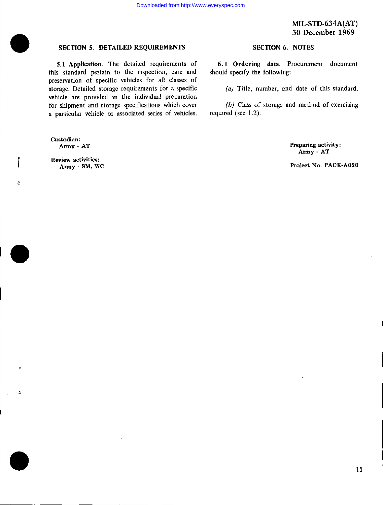MIL-sTD-634A(AT) 30 December 1969

#### SECTION 5. DETAILED REQUIREMENTS

5.1 Application. The detailed requirements of this standard pertain to the inspection, care and preservation of specific vehicles for all classes of storage. Detailed storage requirements for a specific vehicle are provided in the individual preparation for shipment and storage specifications which cover a particular vehicle or associated series of vehicles.

Custodian: Army . AT

 $\mathbb{R}^n$ 

ł

 $\mathbf{L}$ 

**I**

Þ

 $\ddot{z}$ 

Review activities: Army - SM. WC

#### SECTION 6. NOTES

6.1 Ordering data. Procurement document should specify the following:

 $(a)$  Title, number, and date of this standard.

*(b)* Class of storage and method of exercising required (see 1.2).

> Preparing activity: Army - AT

Project No. PACK-A020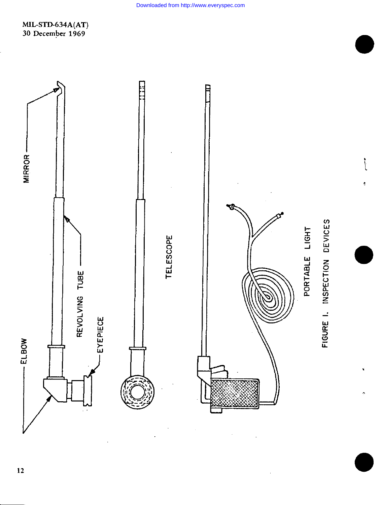# MIL-STD-634A(AT)<br>30 December 1969

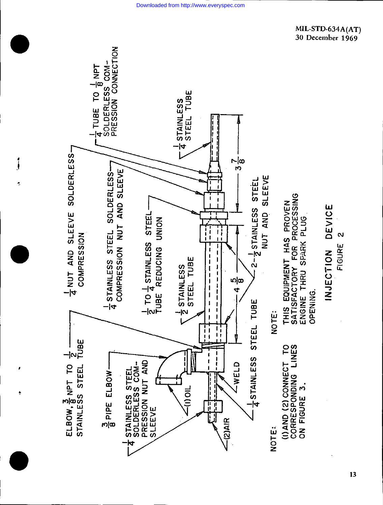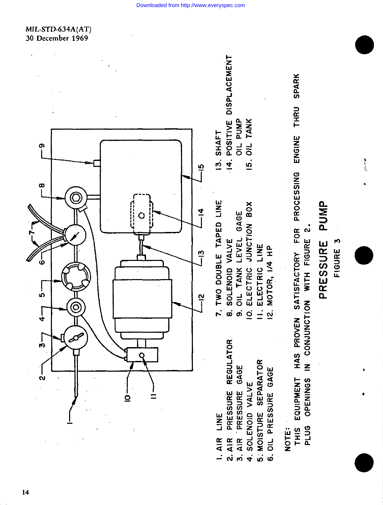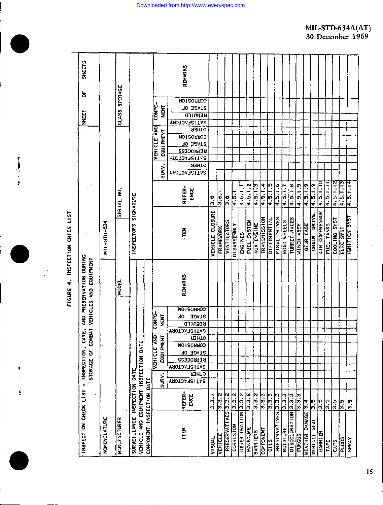$\bullet$ 

 $\hat{\mathbf{S}}$ 

有事 (一)

FIGURE 4. INSPECTION CHECK LIST

| INSPECTION CHECK LIST - INSPECT  |                                        |                     | <b>STORAGE</b> |               |                              |               |              |              |                         |                  | ON, CARE, AND PRESERVATION DURING<br>OF COMBAT VEHICLES AND EQUIPMENT |                                     |                             |                |              |                     |                  |                 |                  |                                     | SHEET          |                 |                    | ð | <b>SHEETS</b>  |  |
|----------------------------------|----------------------------------------|---------------------|----------------|---------------|------------------------------|---------------|--------------|--------------|-------------------------|------------------|-----------------------------------------------------------------------|-------------------------------------|-----------------------------|----------------|--------------|---------------------|------------------|-----------------|------------------|-------------------------------------|----------------|-----------------|--------------------|---|----------------|--|
|                                  |                                        |                     |                |               |                              |               |              |              |                         |                  |                                                                       |                                     |                             |                |              |                     |                  |                 |                  |                                     |                |                 |                    |   |                |  |
| <b>NOMENCLATURE</b>              |                                        |                     |                |               |                              |               |              |              |                         |                  |                                                                       | <b>MIL-STD-634</b>                  |                             |                |              |                     |                  |                 |                  |                                     |                |                 |                    |   |                |  |
| <b>MANUFACTURER</b>              |                                        |                     |                |               |                              |               |              |              |                         |                  | <b>MODEL</b>                                                          |                                     | SERIAL NO.                  |                |              |                     |                  |                 |                  |                                     |                |                 | CLASS STORAGE      |   |                |  |
| SURVEILLANCE INSPECTION DATE     |                                        |                     |                |               |                              |               |              |              |                         |                  |                                                                       | INSPECTORS SIGNATURE                |                             |                |              |                     |                  |                 |                  |                                     |                |                 |                    |   |                |  |
| VEHICLE AND EQUIPMENT INSPECTION |                                        |                     |                |               |                              | DATE          |              |              |                         |                  |                                                                       |                                     |                             |                |              |                     |                  |                 |                  |                                     |                |                 |                    |   |                |  |
| COMPONENT INSPECTION DATE        |                                        |                     |                |               |                              |               |              |              |                         |                  |                                                                       |                                     |                             |                |              |                     |                  |                 |                  |                                     |                |                 |                    |   |                |  |
|                                  |                                        |                     |                | E             |                              | <b>SE VID</b> |              |              | $\frac{1}{3}$           |                  |                                                                       |                                     |                             |                |              |                     | VEHICLE AND      |                 |                  |                                     |                | COMPO-          |                    |   |                |  |
|                                  |                                        | SURV.               |                |               | EQUIPMENT                    |               |              |              | NENT                    |                  |                                                                       |                                     |                             |                | SURV.        |                     | EQUI PMENT       |                 |                  |                                     |                | NENT            |                    |   |                |  |
| Ĕ                                | REFER-                                 |                     |                |               |                              |               |              |              | 10                      |                  | REMARKS                                                               | <b>ITEM</b>                         | REFER-                      |                |              |                     |                  |                 |                  |                                     |                |                 |                    |   | <b>REMARKS</b> |  |
|                                  | ENCE                                   | <b>YROTOAREITAC</b> | <b>R3HTO</b>   | YROTOARE ITAE | <b>37AGE OF</b><br>REPROCESS | CORROS I ON   | <b>RaHTO</b> | Y90T3AR81TA2 | <b>JOVIS</b><br>REBULLD | <b>CORROS1ON</b> |                                                                       |                                     | ENCE                        | YROTJA JE ITAC | <b>REHTO</b> | <b>YROTJAREITAE</b> | <b>REPROCESS</b> | <b>STAGE OF</b> | <b>LORROSION</b> | <b>YROTJAREITAE</b><br><b>REHTO</b> | <u>QJIU83R</u> | <b>PO BOATS</b> | <b>VOT 20 AROS</b> |   |                |  |
| VISUAL                           | 3.3.1                                  |                     |                |               |                              |               |              |              |                         |                  |                                                                       | VEHICLE CLOSURE                     | 3.6                         |                |              |                     |                  |                 |                  |                                     |                |                 |                    |   |                |  |
| <b>VEHICLE</b>                   | $\frac{5}{3.3}$                        |                     |                |               |                              |               |              |              |                         |                  |                                                                       | <b>FRAMEWORK</b>                    | $\overline{\mathbf{3.6}}$ . |                |              |                     |                  |                 |                  |                                     |                |                 |                    |   |                |  |
| PRESERVATIVES 3.3.2              |                                        |                     |                |               |                              |               |              |              |                         |                  |                                                                       | VENTILATORS                         | ြို                         |                |              |                     |                  |                 |                  |                                     |                |                 |                    |   |                |  |
| CORROSION                        | $\frac{2}{13.2}$                       |                     |                |               |                              |               |              |              |                         |                  |                                                                       | <b>ATBM3SSYSIO</b>                  | <br> -<br> -                |                |              |                     |                  |                 |                  |                                     |                |                 |                    |   |                |  |
| DETERI ORATION 3.3.2             |                                        |                     |                |               |                              |               |              |              |                         |                  |                                                                       | ENGINES                             | 4.5.1.                      |                |              |                     |                  |                 |                  |                                     |                |                 |                    |   |                |  |
| <b>HOISTURE</b>                  | 3.3.2                                  |                     |                |               |                              |               |              |              |                         |                  |                                                                       | FUEL SYSTEM                         | 4.5.1.2                     |                |              |                     |                  |                 |                  |                                     |                |                 |                    |   |                |  |
| <b>BARRIERS</b>                  | 3.3.2                                  |                     |                |               |                              |               |              |              |                         |                  |                                                                       | AUX ENGINE                          | 4.5.1.3                     |                |              |                     |                  |                 |                  |                                     |                |                 |                    |   |                |  |
| <b>COMPONENT</b><br>$rac{1}{2}$  | 3.3.3<br>$3.\overline{3}.\overline{3}$ |                     |                |               |                              |               |              |              |                         |                  |                                                                       | TRANSMISSION<br><b>DIFFERENTIAL</b> | 4.5.1.4<br>4.5.1.5          |                |              |                     |                  |                 |                  |                                     |                |                 |                    |   |                |  |
| PRESERVATIVES 3.3.3              |                                        |                     |                |               |                              |               |              |              |                         |                  |                                                                       | FINAL DRIVES                        | 4.5.1.6                     |                |              |                     |                  |                 |                  |                                     |                |                 |                    |   |                |  |
| <b>MOISTURE</b>                  | $\frac{3}{2}$                          |                     |                |               |                              |               |              |              |                         |                  |                                                                       | ROAD WHEELS                         | $\frac{1}{4.5-1}$           |                |              |                     |                  |                 |                  |                                     |                |                 |                    |   |                |  |
| DISCOLORATION 3.3.3              |                                        |                     |                |               |                              |               |              |              |                         |                  |                                                                       | <b>TURRET RACES</b>                 | 4.5.1.8                     |                |              |                     |                  |                 |                  |                                     |                |                 |                    |   |                |  |
| FUNGUS                           | $\frac{3.3}{5}$                        |                     |                |               |                              |               |              |              |                         |                  |                                                                       | <b>WINCH ASSY</b>                   | 4.5.1.9                     |                |              |                     |                  |                 |                  |                                     |                |                 |                    |   |                |  |
| WEATHER DAMAGE                   | $\frac{4}{2}$                          |                     |                |               |                              |               |              |              |                         |                  |                                                                       | GEAR CASE                           | 4.5.1.9                     |                |              |                     |                  |                 |                  |                                     |                |                 |                    |   |                |  |
| VEHICLE SEAL                     | ကြ<br>ကြ                               |                     |                |               |                              |               |              |              |                         |                  |                                                                       | CHAIN DRIVE                         | 4.5.1.9                     |                |              |                     |                  |                 |                  |                                     |                |                 |                    |   |                |  |
| <b>BARRIER</b>                   | $\frac{10}{10}$ in                     |                     |                |               |                              |               |              |              |                         |                  |                                                                       | AIR COMPRESSOR                      | 4.5.10                      |                |              |                     |                  |                 |                  |                                     |                |                 |                    |   |                |  |
| TAPE                             |                                        |                     |                |               |                              |               |              |              |                         |                  |                                                                       | FUEL TANKS                          | 4.5.1.11                    |                |              |                     |                  |                 |                  |                                     |                |                 |                    |   |                |  |
| CAP <sub>S</sub>                 | ကြ $\frac{\ln 2}{\ln 2}$               |                     |                |               |                              |               |              |              |                         |                  |                                                                       | COOLING SYST                        | 4.5.1.12                    |                |              |                     |                  |                 |                  |                                     |                |                 |                    |   |                |  |
| PLUGS                            | $\frac{5}{2}$                          |                     |                |               |                              |               |              |              |                         |                  |                                                                       | ELEC SYST                           | 4.5.1.13                    |                |              |                     |                  |                 |                  |                                     |                |                 |                    |   |                |  |
| SPRAY                            | $\frac{1}{2}$                          |                     |                |               |                              |               |              |              |                         |                  |                                                                       | <b>GNITION SYST</b>                 | 4.5.1.14                    |                |              |                     |                  |                 |                  |                                     |                |                 |                    |   |                |  |

# MIL-STD-634A(AT)<br>30 December 1969